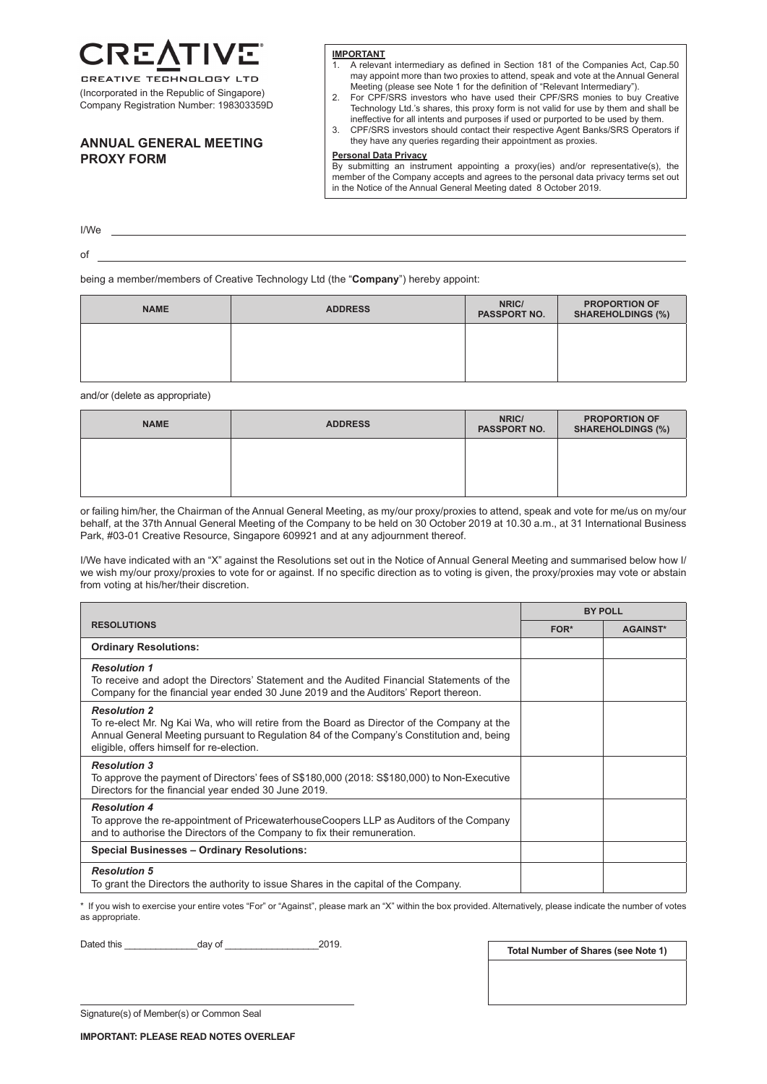÷.

CREATIVE TECHNOLOGY LTD (Incorporated in the Republic of Singapore) Company Registration Number: 198303359D

# **ANNUAL GENERAL MEETING PROXY FORM**

#### **IMPORTANT**

- 1. A relevant intermediary as defined in Section 181 of the Companies Act, Cap.50 may appoint more than two proxies to attend, speak and vote at the Annual General Meeting (please see Note 1 for the definition of "Relevant Intermediary").
- 2. For CPF/SRS investors who have used their CPF/SRS monies to buy Creative Technology Ltd.'s shares, this proxy form is not valid for use by them and shall be ineffective for all intents and purposes if used or purported to be used by them.
- 3. CPF/SRS investors should contact their respective Agent Banks/SRS Operators if they have any queries regarding their appointment as proxies.

### **Personal Data Privacy**

By submitting an instrument appointing a proxy(ies) and/or representative(s), the member of the Company accepts and agrees to the personal data privacy terms set out in the Notice of the Annual General Meeting dated 8 October 2019.

I/We of

being a member/members of Creative Technology Ltd (the "**Company**") hereby appoint:

| <b>NAME</b> | <b>ADDRESS</b> | NRIC/<br>PASSPORT NO. | <b>PROPORTION OF</b><br><b>SHAREHOLDINGS (%)</b> |
|-------------|----------------|-----------------------|--------------------------------------------------|
|             |                |                       |                                                  |
|             |                |                       |                                                  |

and/or (delete as appropriate)

| <b>NAME</b> | <b>ADDRESS</b> | NRIC/<br>PASSPORT NO. | <b>PROPORTION OF</b><br><b>SHAREHOLDINGS (%)</b> |
|-------------|----------------|-----------------------|--------------------------------------------------|
|             |                |                       |                                                  |
|             |                |                       |                                                  |

or failing him/her, the Chairman of the Annual General Meeting, as my/our proxy/proxies to attend, speak and vote for me/us on my/our behalf, at the 37th Annual General Meeting of the Company to be held on 30 October 2019 at 10.30 a.m., at 31 International Business Park, #03-01 Creative Resource, Singapore 609921 and at any adjournment thereof.

I/We have indicated with an "X" against the Resolutions set out in the Notice of Annual General Meeting and summarised below how I/ we wish my/our proxy/proxies to vote for or against. If no specific direction as to voting is given, the proxy/proxies may vote or abstain from voting at his/her/their discretion.

|                                                                                                                                                                                                                                                              | <b>BY POLL</b> |                 |
|--------------------------------------------------------------------------------------------------------------------------------------------------------------------------------------------------------------------------------------------------------------|----------------|-----------------|
| <b>RESOLUTIONS</b>                                                                                                                                                                                                                                           | FOR*           | <b>AGAINST*</b> |
| <b>Ordinary Resolutions:</b>                                                                                                                                                                                                                                 |                |                 |
| <b>Resolution 1</b><br>To receive and adopt the Directors' Statement and the Audited Financial Statements of the<br>Company for the financial year ended 30 June 2019 and the Auditors' Report thereon.                                                      |                |                 |
| <b>Resolution 2</b><br>To re-elect Mr. Ng Kai Wa, who will retire from the Board as Director of the Company at the<br>Annual General Meeting pursuant to Regulation 84 of the Company's Constitution and, being<br>eligible, offers himself for re-election. |                |                 |
| <b>Resolution 3</b><br>To approve the payment of Directors' fees of S\$180,000 (2018: S\$180,000) to Non-Executive<br>Directors for the financial year ended 30 June 2019.                                                                                   |                |                 |
| <b>Resolution 4</b><br>To approve the re-appointment of PricewaterhouseCoopers LLP as Auditors of the Company<br>and to authorise the Directors of the Company to fix their remuneration.                                                                    |                |                 |
| <b>Special Businesses - Ordinary Resolutions:</b>                                                                                                                                                                                                            |                |                 |
| <b>Resolution 5</b><br>To grant the Directors the authority to issue Shares in the capital of the Company.                                                                                                                                                   |                |                 |

\* If you wish to exercise your entire votes "For" or "Against", please mark an "X" within the box provided. Alternatively, please indicate the number of votes as appropriate.

Dated this \_\_\_\_\_\_\_\_\_\_\_\_\_\_day of \_\_\_\_\_\_\_\_\_\_\_\_\_\_\_\_\_\_2019.

**Total Number of Shares (see Note 1)**

Signature(s) of Member(s) or Common Seal

**IMPORTANT: PLEASE READ NOTES OVERLEAF**